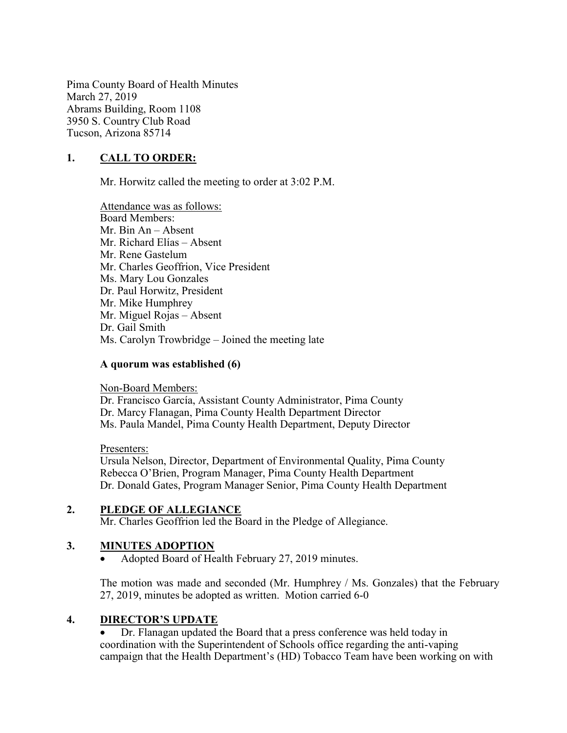Pima County Board of Health Minutes March 27, 2019 Abrams Building, Room 1108 3950 S. Country Club Road Tucson, Arizona 85714

## 1. CALL TO ORDER:

Mr. Horwitz called the meeting to order at 3:02 P.M.

Attendance was as follows: Board Members: Mr. Bin An – Absent Mr. Richard Elías – Absent Mr. Rene Gastelum Mr. Charles Geoffrion, Vice President Ms. Mary Lou Gonzales Dr. Paul Horwitz, President Mr. Mike Humphrey Mr. Miguel Rojas – Absent Dr. Gail Smith Ms. Carolyn Trowbridge – Joined the meeting late

#### A quorum was established (6)

Non-Board Members:

Dr. Francisco García, Assistant County Administrator, Pima County Dr. Marcy Flanagan, Pima County Health Department Director Ms. Paula Mandel, Pima County Health Department, Deputy Director

#### Presenters:

Ursula Nelson, Director, Department of Environmental Quality, Pima County Rebecca O'Brien, Program Manager, Pima County Health Department Dr. Donald Gates, Program Manager Senior, Pima County Health Department

### 2. PLEDGE OF ALLEGIANCE

Mr. Charles Geoffrion led the Board in the Pledge of Allegiance.

### 3. MINUTES ADOPTION

Adopted Board of Health February 27, 2019 minutes.

The motion was made and seconded (Mr. Humphrey / Ms. Gonzales) that the February 27, 2019, minutes be adopted as written. Motion carried 6-0

#### 4. DIRECTOR'S UPDATE

 Dr. Flanagan updated the Board that a press conference was held today in coordination with the Superintendent of Schools office regarding the anti-vaping campaign that the Health Department's (HD) Tobacco Team have been working on with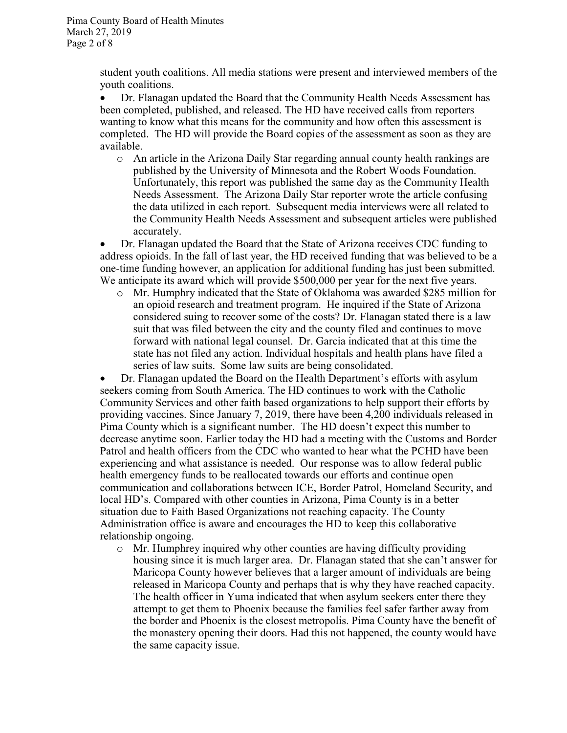student youth coalitions. All media stations were present and interviewed members of the youth coalitions.

 Dr. Flanagan updated the Board that the Community Health Needs Assessment has been completed, published, and released. The HD have received calls from reporters wanting to know what this means for the community and how often this assessment is completed. The HD will provide the Board copies of the assessment as soon as they are available.

o An article in the Arizona Daily Star regarding annual county health rankings are published by the University of Minnesota and the Robert Woods Foundation. Unfortunately, this report was published the same day as the Community Health Needs Assessment. The Arizona Daily Star reporter wrote the article confusing the data utilized in each report. Subsequent media interviews were all related to the Community Health Needs Assessment and subsequent articles were published accurately.

 Dr. Flanagan updated the Board that the State of Arizona receives CDC funding to address opioids. In the fall of last year, the HD received funding that was believed to be a one-time funding however, an application for additional funding has just been submitted. We anticipate its award which will provide \$500,000 per year for the next five years.

o Mr. Humphry indicated that the State of Oklahoma was awarded \$285 million for an opioid research and treatment program. He inquired if the State of Arizona considered suing to recover some of the costs? Dr. Flanagan stated there is a law suit that was filed between the city and the county filed and continues to move forward with national legal counsel. Dr. Garcia indicated that at this time the state has not filed any action. Individual hospitals and health plans have filed a series of law suits. Some law suits are being consolidated.

 Dr. Flanagan updated the Board on the Health Department's efforts with asylum seekers coming from South America. The HD continues to work with the Catholic Community Services and other faith based organizations to help support their efforts by providing vaccines. Since January 7, 2019, there have been 4,200 individuals released in Pima County which is a significant number. The HD doesn't expect this number to decrease anytime soon. Earlier today the HD had a meeting with the Customs and Border Patrol and health officers from the CDC who wanted to hear what the PCHD have been experiencing and what assistance is needed. Our response was to allow federal public health emergency funds to be reallocated towards our efforts and continue open communication and collaborations between ICE, Border Patrol, Homeland Security, and local HD's. Compared with other counties in Arizona, Pima County is in a better situation due to Faith Based Organizations not reaching capacity. The County Administration office is aware and encourages the HD to keep this collaborative relationship ongoing.

o Mr. Humphrey inquired why other counties are having difficulty providing housing since it is much larger area. Dr. Flanagan stated that she can't answer for Maricopa County however believes that a larger amount of individuals are being released in Maricopa County and perhaps that is why they have reached capacity. The health officer in Yuma indicated that when asylum seekers enter there they attempt to get them to Phoenix because the families feel safer farther away from the border and Phoenix is the closest metropolis. Pima County have the benefit of the monastery opening their doors. Had this not happened, the county would have the same capacity issue.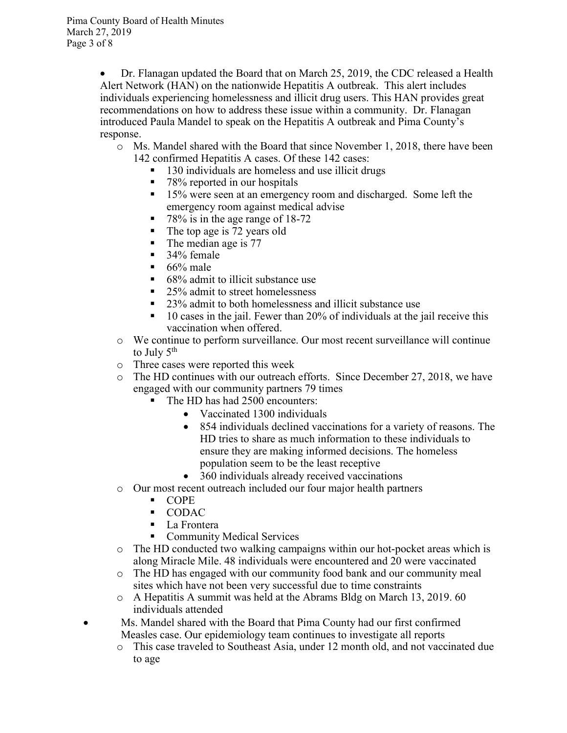Dr. Flanagan updated the Board that on March 25, 2019, the CDC released a Health Alert Network (HAN) on the nationwide Hepatitis A outbreak. This alert includes individuals experiencing homelessness and illicit drug users. This HAN provides great recommendations on how to address these issue within a community. Dr. Flanagan introduced Paula Mandel to speak on the Hepatitis A outbreak and Pima County's response.

- o Ms. Mandel shared with the Board that since November 1, 2018, there have been 142 confirmed Hepatitis A cases. Of these 142 cases:
	- 130 individuals are homeless and use illicit drugs
	- 78% reported in our hospitals
	- <sup>15%</sup> were seen at an emergency room and discharged. Some left the emergency room against medical advise
	- $\blacksquare$  78% is in the age range of 18-72
	- $\blacksquare$  The top age is 72 years old
	- $\blacksquare$  The median age is 77
	- 34% female
	- $\blacksquare$  66% male
	- $\blacksquare$  68% admit to illicit substance use
	- 25% admit to street homelessness
	- 23% admit to both homelessness and illicit substance use
	- 10 cases in the jail. Fewer than 20% of individuals at the jail receive this vaccination when offered.
- o We continue to perform surveillance. Our most recent surveillance will continue to July  $5<sup>th</sup>$
- o Three cases were reported this week
- o The HD continues with our outreach efforts. Since December 27, 2018, we have engaged with our community partners 79 times
	- The HD has had 2500 encounters:
		- Vaccinated 1300 individuals
		- 854 individuals declined vaccinations for a variety of reasons. The HD tries to share as much information to these individuals to ensure they are making informed decisions. The homeless population seem to be the least receptive
		- 360 individuals already received vaccinations
- o Our most recent outreach included our four major health partners
	- COPE
	- **CODAC**
	- La Frontera
	- **Community Medical Services**
- $\circ$  The HD conducted two walking campaigns within our hot-pocket areas which is along Miracle Mile. 48 individuals were encountered and 20 were vaccinated
- o The HD has engaged with our community food bank and our community meal sites which have not been very successful due to time constraints
- o A Hepatitis A summit was held at the Abrams Bldg on March 13, 2019. 60 individuals attended
- Ms. Mandel shared with the Board that Pima County had our first confirmed Measles case. Our epidemiology team continues to investigate all reports
	- o This case traveled to Southeast Asia, under 12 month old, and not vaccinated due to age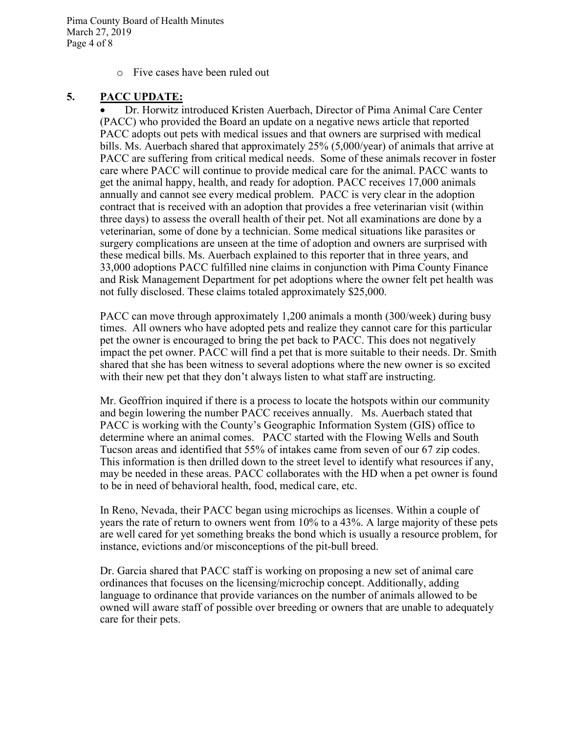Pima County Board of Health Minutes March 27, 2019 Page 4 of 8

o Five cases have been ruled out

### 5. PACC UPDATE:

 Dr. Horwitz introduced Kristen Auerbach, Director of Pima Animal Care Center (PACC) who provided the Board an update on a negative news article that reported PACC adopts out pets with medical issues and that owners are surprised with medical bills. Ms. Auerbach shared that approximately 25% (5,000/year) of animals that arrive at PACC are suffering from critical medical needs. Some of these animals recover in foster care where PACC will continue to provide medical care for the animal. PACC wants to get the animal happy, health, and ready for adoption. PACC receives 17,000 animals annually and cannot see every medical problem. PACC is very clear in the adoption contract that is received with an adoption that provides a free veterinarian visit (within three days) to assess the overall health of their pet. Not all examinations are done by a veterinarian, some of done by a technician. Some medical situations like parasites or surgery complications are unseen at the time of adoption and owners are surprised with these medical bills. Ms. Auerbach explained to this reporter that in three years, and 33,000 adoptions PACC fulfilled nine claims in conjunction with Pima County Finance and Risk Management Department for pet adoptions where the owner felt pet health was not fully disclosed. These claims totaled approximately \$25,000.

PACC can move through approximately 1,200 animals a month (300/week) during busy times. All owners who have adopted pets and realize they cannot care for this particular pet the owner is encouraged to bring the pet back to PACC. This does not negatively impact the pet owner. PACC will find a pet that is more suitable to their needs. Dr. Smith shared that she has been witness to several adoptions where the new owner is so excited with their new pet that they don't always listen to what staff are instructing.

Mr. Geoffrion inquired if there is a process to locate the hotspots within our community and begin lowering the number PACC receives annually. Ms. Auerbach stated that PACC is working with the County's Geographic Information System (GIS) office to determine where an animal comes. PACC started with the Flowing Wells and South Tucson areas and identified that 55% of intakes came from seven of our 67 zip codes. This information is then drilled down to the street level to identify what resources if any, may be needed in these areas. PACC collaborates with the HD when a pet owner is found to be in need of behavioral health, food, medical care, etc.

In Reno, Nevada, their PACC began using microchips as licenses. Within a couple of years the rate of return to owners went from 10% to a 43%. A large majority of these pets are well cared for yet something breaks the bond which is usually a resource problem, for instance, evictions and/or misconceptions of the pit-bull breed.

Dr. Garcia shared that PACC staff is working on proposing a new set of animal care ordinances that focuses on the licensing/microchip concept. Additionally, adding language to ordinance that provide variances on the number of animals allowed to be owned will aware staff of possible over breeding or owners that are unable to adequately care for their pets.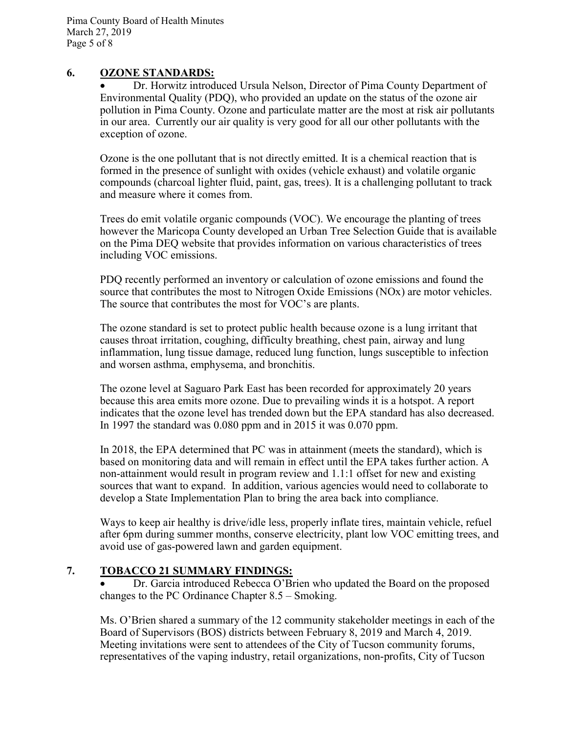### 6. OZONE STANDARDS:

 Dr. Horwitz introduced Ursula Nelson, Director of Pima County Department of Environmental Quality (PDQ), who provided an update on the status of the ozone air pollution in Pima County. Ozone and particulate matter are the most at risk air pollutants in our area. Currently our air quality is very good for all our other pollutants with the exception of ozone.

Ozone is the one pollutant that is not directly emitted. It is a chemical reaction that is formed in the presence of sunlight with oxides (vehicle exhaust) and volatile organic compounds (charcoal lighter fluid, paint, gas, trees). It is a challenging pollutant to track and measure where it comes from.

Trees do emit volatile organic compounds (VOC). We encourage the planting of trees however the Maricopa County developed an Urban Tree Selection Guide that is available on the Pima DEQ website that provides information on various characteristics of trees including VOC emissions.

PDQ recently performed an inventory or calculation of ozone emissions and found the source that contributes the most to Nitrogen Oxide Emissions (NOx) are motor vehicles. The source that contributes the most for VOC's are plants.

The ozone standard is set to protect public health because ozone is a lung irritant that causes throat irritation, coughing, difficulty breathing, chest pain, airway and lung inflammation, lung tissue damage, reduced lung function, lungs susceptible to infection and worsen asthma, emphysema, and bronchitis.

The ozone level at Saguaro Park East has been recorded for approximately 20 years because this area emits more ozone. Due to prevailing winds it is a hotspot. A report indicates that the ozone level has trended down but the EPA standard has also decreased. In 1997 the standard was 0.080 ppm and in 2015 it was 0.070 ppm.

In 2018, the EPA determined that PC was in attainment (meets the standard), which is based on monitoring data and will remain in effect until the EPA takes further action. A non-attainment would result in program review and 1.1:1 offset for new and existing sources that want to expand. In addition, various agencies would need to collaborate to develop a State Implementation Plan to bring the area back into compliance.

Ways to keep air healthy is drive/idle less, properly inflate tires, maintain vehicle, refuel after 6pm during summer months, conserve electricity, plant low VOC emitting trees, and avoid use of gas-powered lawn and garden equipment.

### 7. TOBACCO 21 SUMMARY FINDINGS:

 Dr. Garcia introduced Rebecca O'Brien who updated the Board on the proposed changes to the PC Ordinance Chapter 8.5 – Smoking.

Ms. O'Brien shared a summary of the 12 community stakeholder meetings in each of the Board of Supervisors (BOS) districts between February 8, 2019 and March 4, 2019. Meeting invitations were sent to attendees of the City of Tucson community forums, representatives of the vaping industry, retail organizations, non-profits, City of Tucson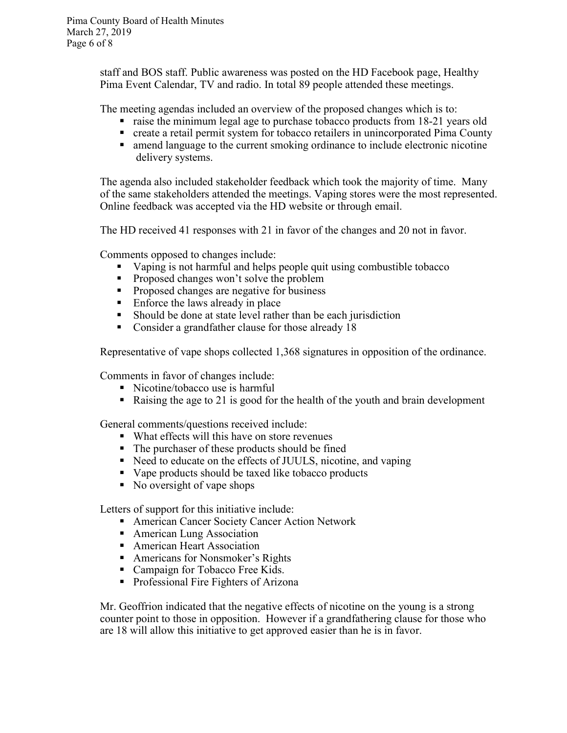staff and BOS staff. Public awareness was posted on the HD Facebook page, Healthy Pima Event Calendar, TV and radio. In total 89 people attended these meetings.

The meeting agendas included an overview of the proposed changes which is to:

- raise the minimum legal age to purchase tobacco products from 18-21 years old
- create a retail permit system for tobacco retailers in unincorporated Pima County
- amend language to the current smoking ordinance to include electronic nicotine delivery systems.

The agenda also included stakeholder feedback which took the majority of time. Many of the same stakeholders attended the meetings. Vaping stores were the most represented. Online feedback was accepted via the HD website or through email.

The HD received 41 responses with 21 in favor of the changes and 20 not in favor.

Comments opposed to changes include:

- Vaping is not harmful and helps people quit using combustible tobacco
- **Proposed changes won't solve the problem**
- **Proposed changes are negative for business**
- $\blacksquare$  Enforce the laws already in place
- Should be done at state level rather than be each jurisdiction
- Consider a grandfather clause for those already 18

Representative of vape shops collected 1,368 signatures in opposition of the ordinance.

Comments in favor of changes include:

- Nicotine/tobacco use is harmful
- Raising the age to 21 is good for the health of the youth and brain development

General comments/questions received include:

- What effects will this have on store revenues
- The purchaser of these products should be fined
- Need to educate on the effects of JUULS, nicotine, and vaping
- Vape products should be taxed like tobacco products
- No oversight of vape shops

Letters of support for this initiative include:

- **American Cancer Society Cancer Action Network**
- American Lung Association
- **American Heart Association**
- Americans for Nonsmoker's Rights
- Campaign for Tobacco Free Kids.
- **Professional Fire Fighters of Arizona**

Mr. Geoffrion indicated that the negative effects of nicotine on the young is a strong counter point to those in opposition. However if a grandfathering clause for those who are 18 will allow this initiative to get approved easier than he is in favor.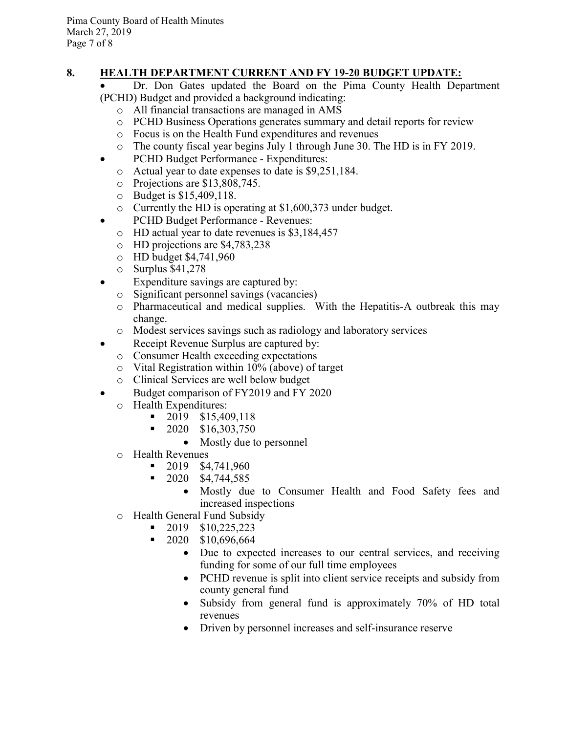# 8. HEALTH DEPARTMENT CURRENT AND FY 19-20 BUDGET UPDATE:

 Dr. Don Gates updated the Board on the Pima County Health Department (PCHD) Budget and provided a background indicating:

- o All financial transactions are managed in AMS
- o PCHD Business Operations generates summary and detail reports for review
- o Focus is on the Health Fund expenditures and revenues
- o The county fiscal year begins July 1 through June 30. The HD is in FY 2019.
- PCHD Budget Performance Expenditures:
	- o Actual year to date expenses to date is \$9,251,184.
	- o Projections are \$13,808,745.
	- o Budget is \$15,409,118.
	- o Currently the HD is operating at \$1,600,373 under budget.
- PCHD Budget Performance Revenues:
	- o HD actual year to date revenues is \$3,184,457
	- o HD projections are \$4,783,238
	- o HD budget \$4,741,960
	- o Surplus \$41,278
- Expenditure savings are captured by:
	- o Significant personnel savings (vacancies)
	- o Pharmaceutical and medical supplies. With the Hepatitis-A outbreak this may change.
	- o Modest services savings such as radiology and laboratory services
- Receipt Revenue Surplus are captured by:
	- o Consumer Health exceeding expectations
	- o Vital Registration within 10% (above) of target
	- o Clinical Services are well below budget
- Budget comparison of FY2019 and FY 2020
	- o Health Expenditures:
		- $\blacksquare$  2019 \$15,409,118
		- $\blacksquare$  2020 \$16,303,750
			- Mostly due to personnel
	- o Health Revenues
		- $\blacksquare$  2019 \$4,741,960
		- $\blacksquare$  2020 \$4,744,585
			- Mostly due to Consumer Health and Food Safety fees and increased inspections
	- o Health General Fund Subsidy
		- 2019 \$10,225,223
		- $\blacksquare$  2020 \$10,696,664
			- Due to expected increases to our central services, and receiving funding for some of our full time employees
			- PCHD revenue is split into client service receipts and subsidy from county general fund
			- Subsidy from general fund is approximately 70% of HD total revenues
			- Driven by personnel increases and self-insurance reserve